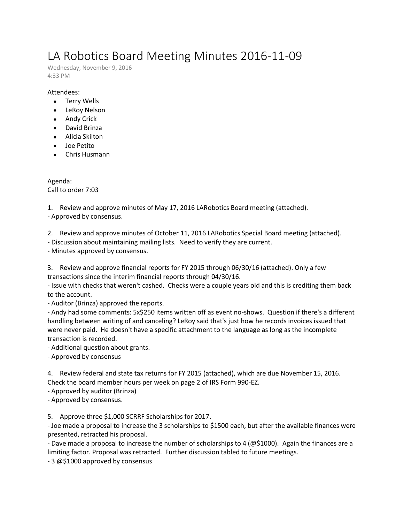## LA Robotics Board Meeting Minutes 2016-11-09

Wednesday, November 9, 2016 4:33 PM

## Attendees:

- Terry Wells
- LeRoy Nelson
- Andy Crick
- David Brinza
- Alicia Skilton
- Joe Petito
- Chris Husmann

Agenda: Call to order 7:03

1. Review and approve minutes of May 17, 2016 LARobotics Board meeting (attached). - Approved by consensus.

2. Review and approve minutes of October 11, 2016 LARobotics Special Board meeting (attached).

- Discussion about maintaining mailing lists. Need to verify they are current.

- Minutes approved by consensus.

3. Review and approve financial reports for FY 2015 through 06/30/16 (attached). Only a few transactions since the interim financial reports through 04/30/16.

- Issue with checks that weren't cashed. Checks were a couple years old and this is crediting them back to the account.

- Auditor (Brinza) approved the reports.

- Andy had some comments: 5x\$250 items written off as event no-shows. Question if there's a different handling between writing of and canceling? LeRoy said that's just how he records invoices issued that were never paid. He doesn't have a specific attachment to the language as long as the incomplete transaction is recorded.

- Additional question about grants.

- Approved by consensus

4. Review federal and state tax returns for FY 2015 (attached), which are due November 15, 2016. Check the board member hours per week on page 2 of IRS Form 990-EZ.

- Approved by auditor (Brinza)

- Approved by consensus.

5. Approve three \$1,000 SCRRF Scholarships for 2017.

- Joe made a proposal to increase the 3 scholarships to \$1500 each, but after the available finances were presented, retracted his proposal.

- Dave made a proposal to increase the number of scholarships to 4 (@\$1000). Again the finances are a limiting factor. Proposal was retracted. Further discussion tabled to future meetings.

- 3 @\$1000 approved by consensus